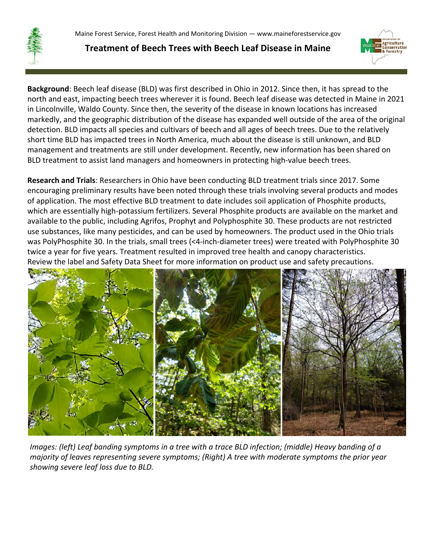

**Treatment of Beech Trees with Beech Leaf Disease in Maine**



**Background**: Beech leaf disease (BLD) was first described in Ohio in 2012. Since then, it has spread to the north and east, impacting beech trees wherever it is found. Beech leaf disease was detected in Maine in 2021 in Lincolnville, Waldo County. Since then, the severity of the disease in known locations has increased markedly, and the geographic distribution of the disease has expanded well outside of the area of the original detection. BLD impacts all species and cultivars of beech and all ages of beech trees. Due to the relatively short time BLD has impacted trees in North America, much about the disease is still unknown, and BLD management and treatments are still under development. Recently, new information has been shared on BLD treatment to assist land managers and homeowners in protecting high-value beech trees.

**Research and Trials**: Researchers in Ohio have been conducting BLD treatment trials since 2017. Some encouraging preliminary results have been noted through these trials involving several products and modes of application. The most effective BLD treatment to date includes soil application of Phosphite products, which are essentially high-potassium fertilizers. Several Phosphite products are available on the market and available to the public, including Agrifos, Prophyt and Polyphosphite 30. These products are not restricted use substances, like many pesticides, and can be used by homeowners. The product used in the Ohio trials was PolyPhosphite 30. In the trials, small trees (<4-inch-diameter trees) were treated with PolyPhosphite 30 twice a year for five years. Treatment resulted in improved tree health and canopy characteristics. Review the label and Safety Data Sheet for more information on product use and safety precautions.



*Images: (left) Leaf banding symptoms in a tree with a trace BLD infection; (middle) Heavy banding of a majority of leaves representing severe symptoms; (Right) A tree with moderate symptoms the prior year showing severe leaf loss due to BLD.*